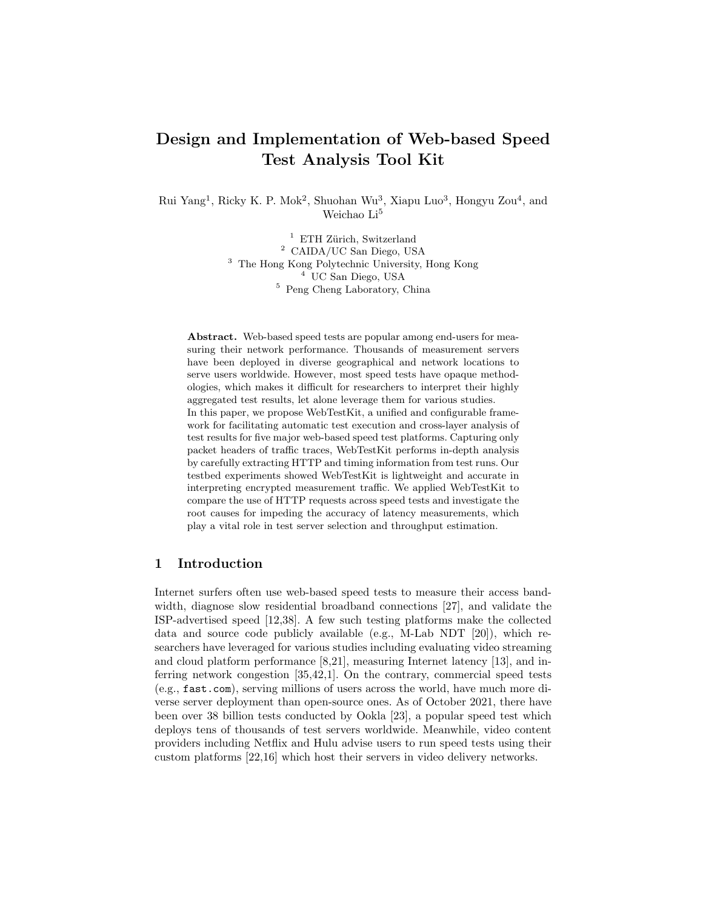# Design and Implementation of Web-based Speed Test Analysis Tool Kit

Rui Yang<sup>1</sup>, Ricky K. P. Mok<sup>2</sup>, Shuohan Wu<sup>3</sup>, Xiapu Luo<sup>3</sup>, Hongyu Zou<sup>4</sup>, and Weichao $\rm Li^5$ 

> ETH Zürich, Switzerland CAIDA/UC San Diego, USA The Hong Kong Polytechnic University, Hong Kong UC San Diego, USA Peng Cheng Laboratory, China

Abstract. Web-based speed tests are popular among end-users for measuring their network performance. Thousands of measurement servers have been deployed in diverse geographical and network locations to serve users worldwide. However, most speed tests have opaque methodologies, which makes it difficult for researchers to interpret their highly aggregated test results, let alone leverage them for various studies. In this paper, we propose WebTestKit, a unified and configurable framework for facilitating automatic test execution and cross-layer analysis of test results for five major web-based speed test platforms. Capturing only packet headers of traffic traces, WebTestKit performs in-depth analysis by carefully extracting HTTP and timing information from test runs. Our testbed experiments showed WebTestKit is lightweight and accurate in interpreting encrypted measurement traffic. We applied WebTestKit to compare the use of HTTP requests across speed tests and investigate the root causes for impeding the accuracy of latency measurements, which play a vital role in test server selection and throughput estimation.

# 1 Introduction

Internet surfers often use web-based speed tests to measure their access bandwidth, diagnose slow residential broadband connections [27], and validate the ISP-advertised speed [12,38]. A few such testing platforms make the collected data and source code publicly available (e.g., M-Lab NDT [20]), which researchers have leveraged for various studies including evaluating video streaming and cloud platform performance [8,21], measuring Internet latency [13], and inferring network congestion [35,42,1]. On the contrary, commercial speed tests (e.g., fast.com), serving millions of users across the world, have much more diverse server deployment than open-source ones. As of October 2021, there have been over 38 billion tests conducted by Ookla [23], a popular speed test which deploys tens of thousands of test servers worldwide. Meanwhile, video content providers including Netflix and Hulu advise users to run speed tests using their custom platforms [22,16] which host their servers in video delivery networks.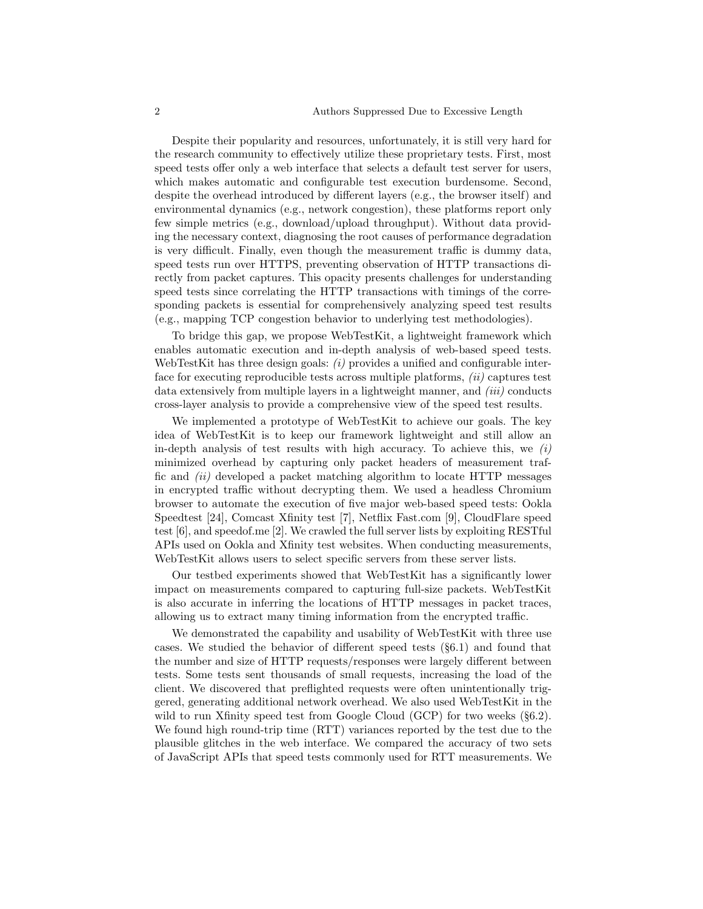Despite their popularity and resources, unfortunately, it is still very hard for the research community to effectively utilize these proprietary tests. First, most speed tests offer only a web interface that selects a default test server for users, which makes automatic and configurable test execution burdensome. Second, despite the overhead introduced by different layers (e.g., the browser itself) and environmental dynamics (e.g., network congestion), these platforms report only few simple metrics (e.g., download/upload throughput). Without data providing the necessary context, diagnosing the root causes of performance degradation is very difficult. Finally, even though the measurement traffic is dummy data, speed tests run over HTTPS, preventing observation of HTTP transactions directly from packet captures. This opacity presents challenges for understanding speed tests since correlating the HTTP transactions with timings of the corresponding packets is essential for comprehensively analyzing speed test results (e.g., mapping TCP congestion behavior to underlying test methodologies).

To bridge this gap, we propose WebTestKit, a lightweight framework which enables automatic execution and in-depth analysis of web-based speed tests. WebTestKit has three design goals:  $(i)$  provides a unified and configurable interface for executing reproducible tests across multiple platforms,  $(ii)$  captures test data extensively from multiple layers in a lightweight manner, and  $(iii)$  conducts cross-layer analysis to provide a comprehensive view of the speed test results.

We implemented a prototype of WebTestKit to achieve our goals. The key idea of WebTestKit is to keep our framework lightweight and still allow an in-depth analysis of test results with high accuracy. To achieve this, we  $(i)$ minimized overhead by capturing only packet headers of measurement traffic and  $(ii)$  developed a packet matching algorithm to locate HTTP messages in encrypted traffic without decrypting them. We used a headless Chromium browser to automate the execution of five major web-based speed tests: Ookla Speedtest [24], Comcast Xfinity test [7], Netflix Fast.com [9], CloudFlare speed test [6], and speedof.me [2]. We crawled the full server lists by exploiting RESTful APIs used on Ookla and Xfinity test websites. When conducting measurements, WebTestKit allows users to select specific servers from these server lists.

Our testbed experiments showed that WebTestKit has a significantly lower impact on measurements compared to capturing full-size packets. WebTestKit is also accurate in inferring the locations of HTTP messages in packet traces, allowing us to extract many timing information from the encrypted traffic.

We demonstrated the capability and usability of WebTestKit with three use cases. We studied the behavior of different speed tests (§6.1) and found that the number and size of HTTP requests/responses were largely different between tests. Some tests sent thousands of small requests, increasing the load of the client. We discovered that preflighted requests were often unintentionally triggered, generating additional network overhead. We also used WebTestKit in the wild to run Xfinity speed test from Google Cloud (GCP) for two weeks (§6.2). We found high round-trip time (RTT) variances reported by the test due to the plausible glitches in the web interface. We compared the accuracy of two sets of JavaScript APIs that speed tests commonly used for RTT measurements. We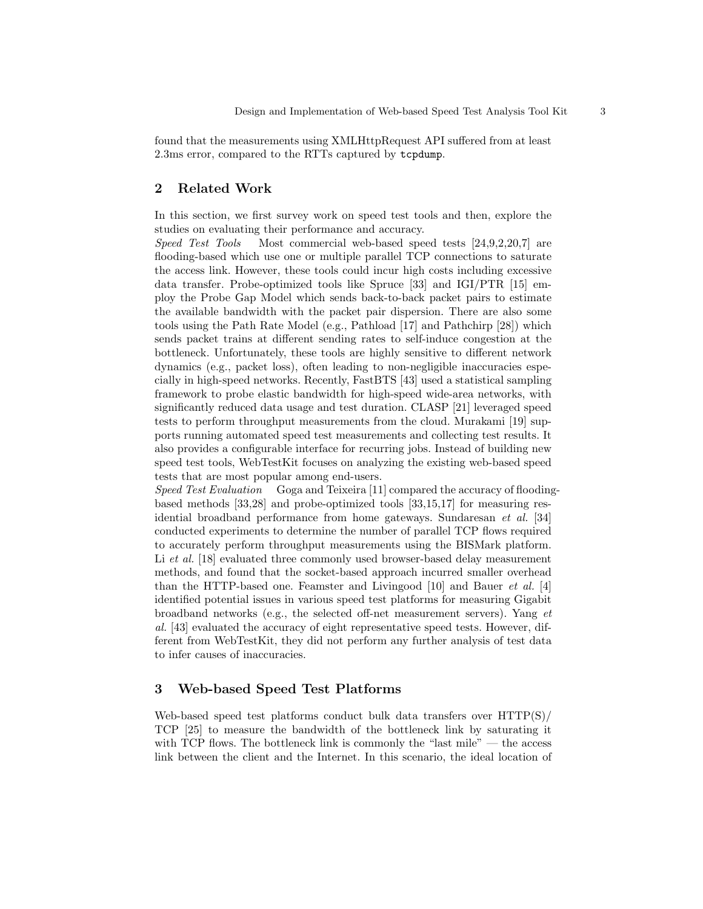found that the measurements using XMLHttpRequest API suffered from at least 2.3ms error, compared to the RTTs captured by tcpdump.

# 2 Related Work

In this section, we first survey work on speed test tools and then, explore the studies on evaluating their performance and accuracy.

Speed Test Tools Most commercial web-based speed tests [24,9,2,20,7] are flooding-based which use one or multiple parallel TCP connections to saturate the access link. However, these tools could incur high costs including excessive data transfer. Probe-optimized tools like Spruce [33] and IGI/PTR [15] employ the Probe Gap Model which sends back-to-back packet pairs to estimate the available bandwidth with the packet pair dispersion. There are also some tools using the Path Rate Model (e.g., Pathload [17] and Pathchirp [28]) which sends packet trains at different sending rates to self-induce congestion at the bottleneck. Unfortunately, these tools are highly sensitive to different network dynamics (e.g., packet loss), often leading to non-negligible inaccuracies especially in high-speed networks. Recently, FastBTS [43] used a statistical sampling framework to probe elastic bandwidth for high-speed wide-area networks, with significantly reduced data usage and test duration. CLASP [21] leveraged speed tests to perform throughput measurements from the cloud. Murakami [19] supports running automated speed test measurements and collecting test results. It also provides a configurable interface for recurring jobs. Instead of building new speed test tools, WebTestKit focuses on analyzing the existing web-based speed tests that are most popular among end-users.

Speed Test Evaluation Goga and Teixeira [11] compared the accuracy of floodingbased methods [33,28] and probe-optimized tools [33,15,17] for measuring residential broadband performance from home gateways. Sundaresan et al. [34] conducted experiments to determine the number of parallel TCP flows required to accurately perform throughput measurements using the BISMark platform. Li et al. [18] evaluated three commonly used browser-based delay measurement methods, and found that the socket-based approach incurred smaller overhead than the HTTP-based one. Feamster and Livingood [10] and Bauer et al. [4] identified potential issues in various speed test platforms for measuring Gigabit broadband networks (e.g., the selected off-net measurement servers). Yang et al. [43] evaluated the accuracy of eight representative speed tests. However, different from WebTestKit, they did not perform any further analysis of test data to infer causes of inaccuracies.

## 3 Web-based Speed Test Platforms

Web-based speed test platforms conduct bulk data transfers over HTTP(S)/ TCP [25] to measure the bandwidth of the bottleneck link by saturating it with TCP flows. The bottleneck link is commonly the "last mile"  $-$  the access link between the client and the Internet. In this scenario, the ideal location of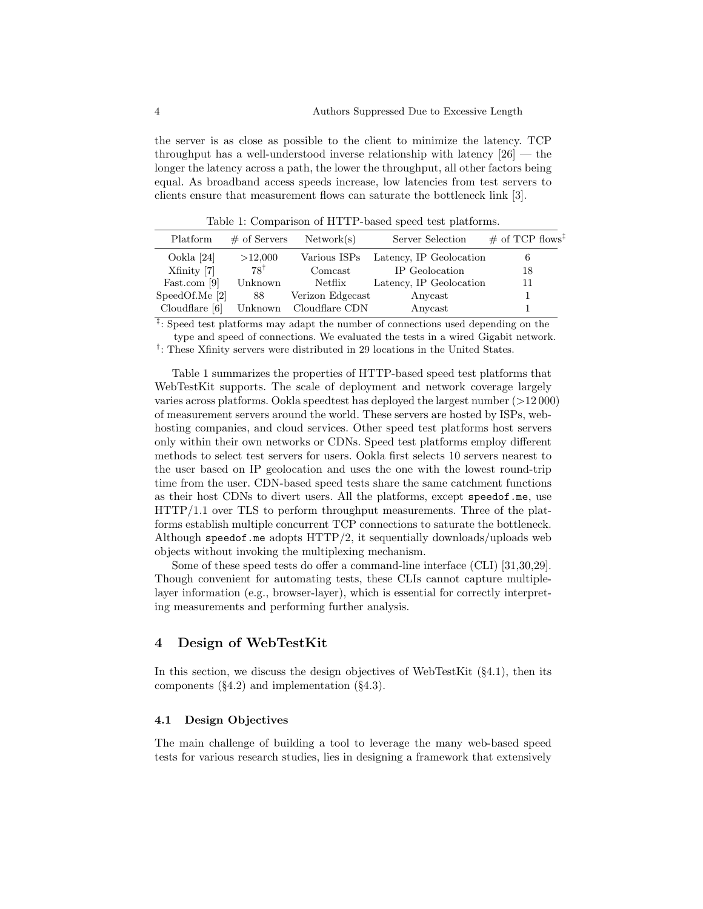the server is as close as possible to the client to minimize the latency. TCP throughput has a well-understood inverse relationship with latency  $[26]$  — the longer the latency across a path, the lower the throughput, all other factors being equal. As broadband access speeds increase, low latencies from test servers to clients ensure that measurement flows can saturate the bottleneck link [3].

Platform  $\#$  of Servers Network(s) Server Selection  $\#$  of TCP flows<sup>1</sup> Ookla [24] >12,000 Various ISPs Latency, IP Geolocation 6  $X\text{finity}$  [7]  $78^{\dagger}$  Comcast IP Geolocation 18 Fast.com [9] Unknown Netflix Latency, IP Geolocation 11 SpeedOf.Me [2] 88 Verizon Edgecast Anycast 1 Cloudflare [6] Unknown Cloudflare CDN Anycast 1

Table 1: Comparison of HTTP-based speed test platforms.

‡ : Speed test platforms may adapt the number of connections used depending on the type and speed of connections. We evaluated the tests in a wired Gigabit network. <sup>†</sup>: These Xfinity servers were distributed in 29 locations in the United States.

Table 1 summarizes the properties of HTTP-based speed test platforms that WebTestKit supports. The scale of deployment and network coverage largely varies across platforms. Ookla speedtest has deployed the largest number (>12 000) of measurement servers around the world. These servers are hosted by ISPs, webhosting companies, and cloud services. Other speed test platforms host servers only within their own networks or CDNs. Speed test platforms employ different methods to select test servers for users. Ookla first selects 10 servers nearest to the user based on IP geolocation and uses the one with the lowest round-trip time from the user. CDN-based speed tests share the same catchment functions as their host CDNs to divert users. All the platforms, except speedof.me, use HTTP/1.1 over TLS to perform throughput measurements. Three of the platforms establish multiple concurrent TCP connections to saturate the bottleneck. Although speed of me adopts  $HTTP/2$ , it sequentially downloads/uploads web objects without invoking the multiplexing mechanism.

Some of these speed tests do offer a command-line interface (CLI) [31,30,29]. Though convenient for automating tests, these CLIs cannot capture multiplelayer information (e.g., browser-layer), which is essential for correctly interpreting measurements and performing further analysis.

# 4 Design of WebTestKit

In this section, we discuss the design objectives of WebTestKit (§4.1), then its components (§4.2) and implementation (§4.3).

#### 4.1 Design Objectives

The main challenge of building a tool to leverage the many web-based speed tests for various research studies, lies in designing a framework that extensively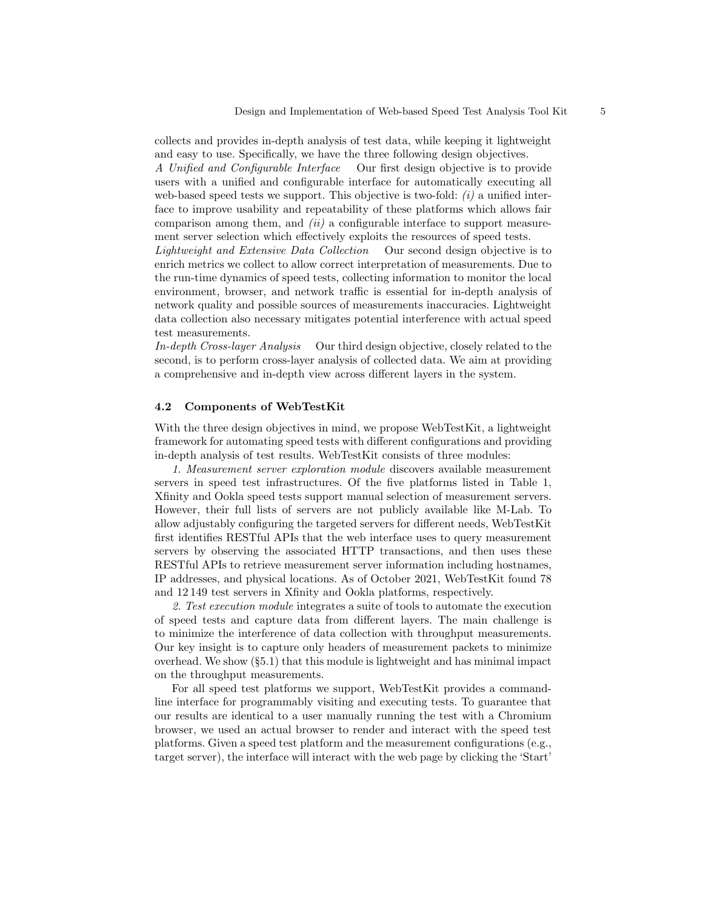collects and provides in-depth analysis of test data, while keeping it lightweight and easy to use. Specifically, we have the three following design objectives.

A Unified and Configurable Interface Our first design objective is to provide users with a unified and configurable interface for automatically executing all web-based speed tests we support. This objective is two-fold:  $(i)$  a unified interface to improve usability and repeatability of these platforms which allows fair comparison among them, and  $(ii)$  a configurable interface to support measurement server selection which effectively exploits the resources of speed tests.

Lightweight and Extensive Data Collection Our second design objective is to enrich metrics we collect to allow correct interpretation of measurements. Due to the run-time dynamics of speed tests, collecting information to monitor the local environment, browser, and network traffic is essential for in-depth analysis of network quality and possible sources of measurements inaccuracies. Lightweight data collection also necessary mitigates potential interference with actual speed test measurements.

In-depth Cross-layer Analysis Our third design objective, closely related to the second, is to perform cross-layer analysis of collected data. We aim at providing a comprehensive and in-depth view across different layers in the system.

#### 4.2 Components of WebTestKit

With the three design objectives in mind, we propose WebTestKit, a lightweight framework for automating speed tests with different configurations and providing in-depth analysis of test results. WebTestKit consists of three modules:

1. Measurement server exploration module discovers available measurement servers in speed test infrastructures. Of the five platforms listed in Table 1, Xfinity and Ookla speed tests support manual selection of measurement servers. However, their full lists of servers are not publicly available like M-Lab. To allow adjustably configuring the targeted servers for different needs, WebTestKit first identifies RESTful APIs that the web interface uses to query measurement servers by observing the associated HTTP transactions, and then uses these RESTful APIs to retrieve measurement server information including hostnames, IP addresses, and physical locations. As of October 2021, WebTestKit found 78 and 12 149 test servers in Xfinity and Ookla platforms, respectively.

2. Test execution module integrates a suite of tools to automate the execution of speed tests and capture data from different layers. The main challenge is to minimize the interference of data collection with throughput measurements. Our key insight is to capture only headers of measurement packets to minimize overhead. We show (§5.1) that this module is lightweight and has minimal impact on the throughput measurements.

For all speed test platforms we support, WebTestKit provides a commandline interface for programmably visiting and executing tests. To guarantee that our results are identical to a user manually running the test with a Chromium browser, we used an actual browser to render and interact with the speed test platforms. Given a speed test platform and the measurement configurations (e.g., target server), the interface will interact with the web page by clicking the 'Start'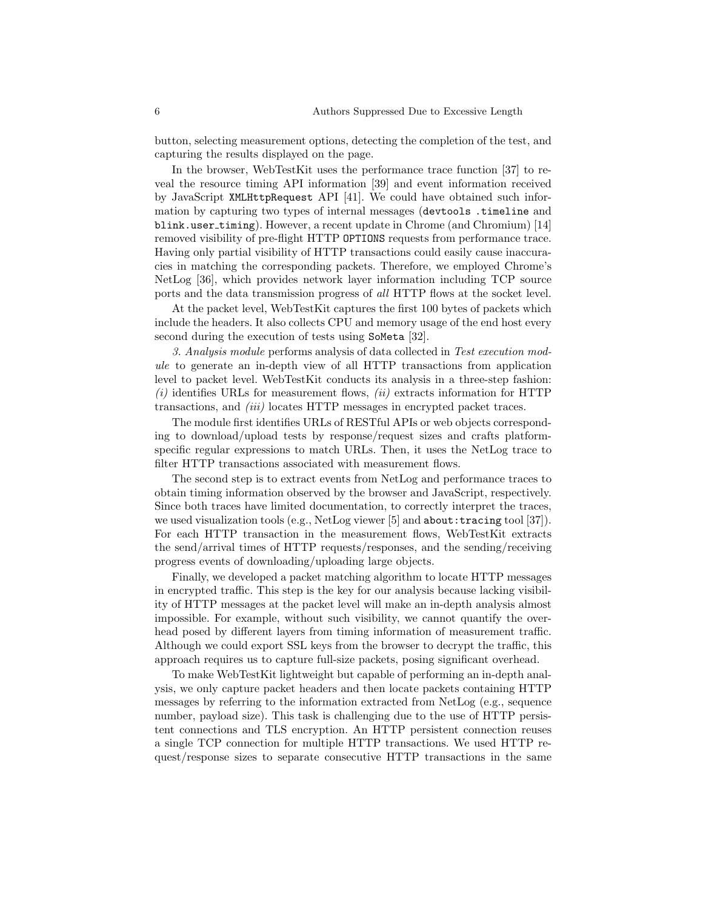button, selecting measurement options, detecting the completion of the test, and capturing the results displayed on the page.

In the browser, WebTestKit uses the performance trace function [37] to reveal the resource timing API information [39] and event information received by JavaScript XMLHttpRequest API [41]. We could have obtained such information by capturing two types of internal messages (devtools .timeline and blink.user timing). However, a recent update in Chrome (and Chromium) [14] removed visibility of pre-flight HTTP OPTIONS requests from performance trace. Having only partial visibility of HTTP transactions could easily cause inaccuracies in matching the corresponding packets. Therefore, we employed Chrome's NetLog [36], which provides network layer information including TCP source ports and the data transmission progress of all HTTP flows at the socket level.

At the packet level, WebTestKit captures the first 100 bytes of packets which include the headers. It also collects CPU and memory usage of the end host every second during the execution of tests using SoMeta [32].

3. Analysis module performs analysis of data collected in Test execution module to generate an in-depth view of all HTTP transactions from application level to packet level. WebTestKit conducts its analysis in a three-step fashion:  $(i)$  identifies URLs for measurement flows,  $(ii)$  extracts information for HTTP transactions, and *(iii)* locates HTTP messages in encrypted packet traces.

The module first identifies URLs of RESTful APIs or web objects corresponding to download/upload tests by response/request sizes and crafts platformspecific regular expressions to match URLs. Then, it uses the NetLog trace to filter HTTP transactions associated with measurement flows.

The second step is to extract events from NetLog and performance traces to obtain timing information observed by the browser and JavaScript, respectively. Since both traces have limited documentation, to correctly interpret the traces, we used visualization tools (e.g., NetLog viewer  $[5]$  and about: tracing tool  $[37]$ ). For each HTTP transaction in the measurement flows, WebTestKit extracts the send/arrival times of HTTP requests/responses, and the sending/receiving progress events of downloading/uploading large objects.

Finally, we developed a packet matching algorithm to locate HTTP messages in encrypted traffic. This step is the key for our analysis because lacking visibility of HTTP messages at the packet level will make an in-depth analysis almost impossible. For example, without such visibility, we cannot quantify the overhead posed by different layers from timing information of measurement traffic. Although we could export SSL keys from the browser to decrypt the traffic, this approach requires us to capture full-size packets, posing significant overhead.

To make WebTestKit lightweight but capable of performing an in-depth analysis, we only capture packet headers and then locate packets containing HTTP messages by referring to the information extracted from NetLog (e.g., sequence number, payload size). This task is challenging due to the use of HTTP persistent connections and TLS encryption. An HTTP persistent connection reuses a single TCP connection for multiple HTTP transactions. We used HTTP request/response sizes to separate consecutive HTTP transactions in the same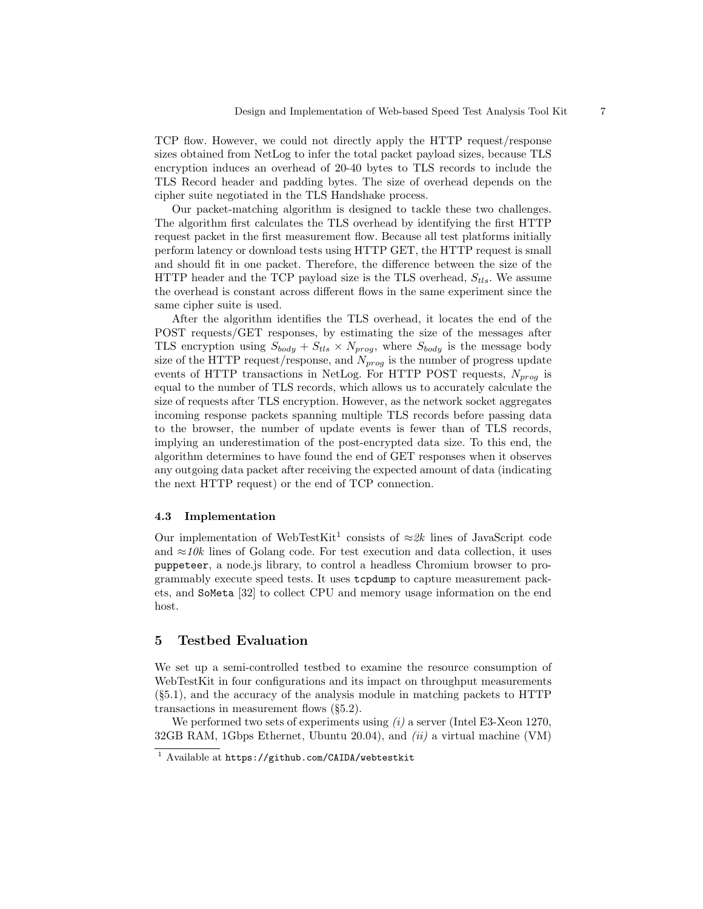TCP flow. However, we could not directly apply the HTTP request/response sizes obtained from NetLog to infer the total packet payload sizes, because TLS encryption induces an overhead of 20-40 bytes to TLS records to include the TLS Record header and padding bytes. The size of overhead depends on the cipher suite negotiated in the TLS Handshake process.

Our packet-matching algorithm is designed to tackle these two challenges. The algorithm first calculates the TLS overhead by identifying the first HTTP request packet in the first measurement flow. Because all test platforms initially perform latency or download tests using HTTP GET, the HTTP request is small and should fit in one packet. Therefore, the difference between the size of the HTTP header and the TCP payload size is the TLS overhead,  $S_{tls}$ . We assume the overhead is constant across different flows in the same experiment since the same cipher suite is used.

After the algorithm identifies the TLS overhead, it locates the end of the POST requests/GET responses, by estimating the size of the messages after TLS encryption using  $S_{body} + S_{tls} \times N_{prog}$ , where  $S_{body}$  is the message body size of the HTTP request/response, and  $N_{prog}$  is the number of progress update events of HTTP transactions in NetLog. For HTTP POST requests,  $N_{prog}$  is equal to the number of TLS records, which allows us to accurately calculate the size of requests after TLS encryption. However, as the network socket aggregates incoming response packets spanning multiple TLS records before passing data to the browser, the number of update events is fewer than of TLS records, implying an underestimation of the post-encrypted data size. To this end, the algorithm determines to have found the end of GET responses when it observes any outgoing data packet after receiving the expected amount of data (indicating the next HTTP request) or the end of TCP connection.

#### 4.3 Implementation

Our implementation of WebTestKit<sup>1</sup> consists of  $\approx 2k$  lines of JavaScript code and  $\approx$ 10k lines of Golang code. For test execution and data collection, it uses puppeteer, a node.js library, to control a headless Chromium browser to programmably execute speed tests. It uses tcpdump to capture measurement packets, and SoMeta [32] to collect CPU and memory usage information on the end host.

# 5 Testbed Evaluation

We set up a semi-controlled testbed to examine the resource consumption of WebTestKit in four configurations and its impact on throughput measurements (§5.1), and the accuracy of the analysis module in matching packets to HTTP transactions in measurement flows (§5.2).

We performed two sets of experiments using  $(i)$  a server (Intel E3-Xeon 1270, 32GB RAM, 1Gbps Ethernet, Ubuntu 20.04), and  $(ii)$  a virtual machine (VM)

<sup>1</sup> Available at https://github.com/CAIDA/webtestkit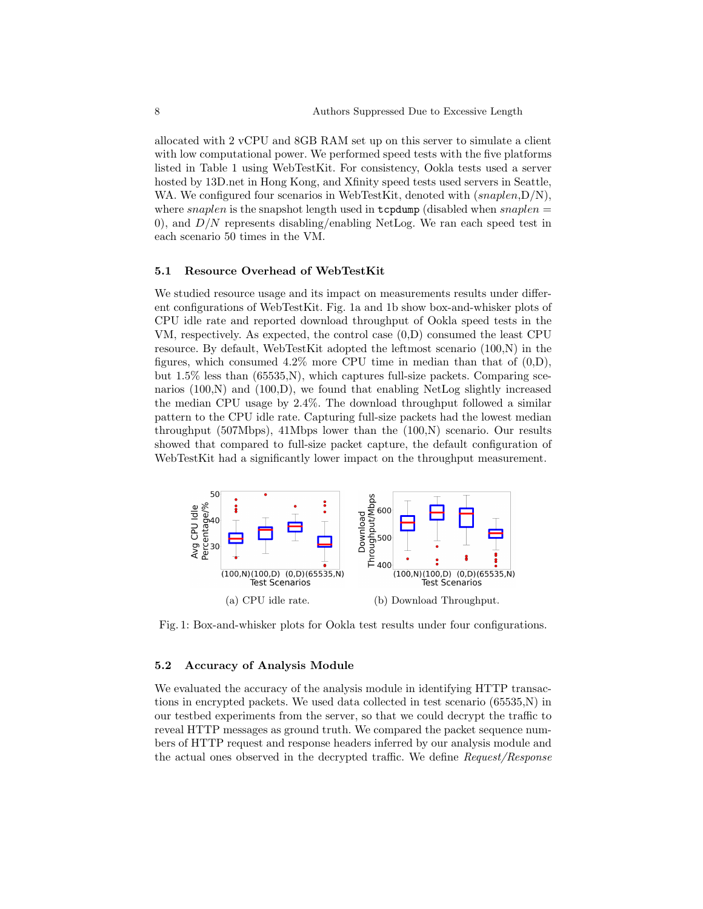allocated with 2 vCPU and 8GB RAM set up on this server to simulate a client with low computational power. We performed speed tests with the five platforms listed in Table 1 using WebTestKit. For consistency, Ookla tests used a server hosted by 13D.net in Hong Kong, and Xfinity speed tests used servers in Seattle, WA. We configured four scenarios in WebTestKit, denoted with  $(snaplen, D/N)$ , where snaplen is the snapshot length used in  $t$ cpdump (disabled when snaplen = 0), and  $D/N$  represents disabling/enabling NetLog. We ran each speed test in each scenario 50 times in the VM.

#### 5.1 Resource Overhead of WebTestKit

We studied resource usage and its impact on measurements results under different configurations of WebTestKit. Fig. 1a and 1b show box-and-whisker plots of CPU idle rate and reported download throughput of Ookla speed tests in the VM, respectively. As expected, the control case (0,D) consumed the least CPU resource. By default, WebTestKit adopted the leftmost scenario (100,N) in the figures, which consumed  $4.2\%$  more CPU time in median than that of  $(0,D)$ , but  $1.5\%$  less than  $(65535,N)$ , which captures full-size packets. Comparing scenarios (100,N) and (100,D), we found that enabling NetLog slightly increased the median CPU usage by 2.4%. The download throughput followed a similar pattern to the CPU idle rate. Capturing full-size packets had the lowest median throughput (507Mbps), 41Mbps lower than the  $(100,N)$  scenario. Our results showed that compared to full-size packet capture, the default configuration of WebTestKit had a significantly lower impact on the throughput measurement.



Fig. 1: Box-and-whisker plots for Ookla test results under four configurations.

#### 5.2 Accuracy of Analysis Module

We evaluated the accuracy of the analysis module in identifying HTTP transactions in encrypted packets. We used data collected in test scenario (65535,N) in our testbed experiments from the server, so that we could decrypt the traffic to reveal HTTP messages as ground truth. We compared the packet sequence numbers of HTTP request and response headers inferred by our analysis module and the actual ones observed in the decrypted traffic. We define Request/Response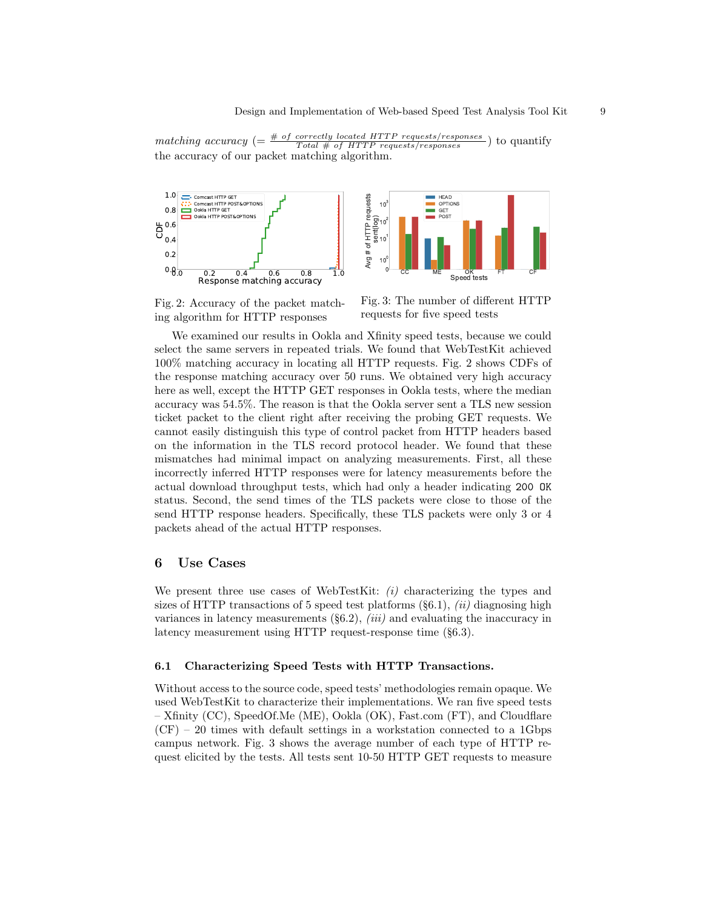matching accuracy  $(=\frac{\text{# of correctly located HTTP requests/ responses}}{Total \text{ # of HTTP requests/ responses}})$  to quantify the accuracy of our packet matching algorithm.



Fig. 2: Accuracy of the packet matching algorithm for HTTP responses



Fig. 3: The number of different HTTP requests for five speed tests

We examined our results in Ookla and Xfinity speed tests, because we could select the same servers in repeated trials. We found that WebTestKit achieved 100% matching accuracy in locating all HTTP requests. Fig. 2 shows CDFs of the response matching accuracy over 50 runs. We obtained very high accuracy here as well, except the HTTP GET responses in Ookla tests, where the median accuracy was 54.5%. The reason is that the Ookla server sent a TLS new session ticket packet to the client right after receiving the probing GET requests. We cannot easily distinguish this type of control packet from HTTP headers based on the information in the TLS record protocol header. We found that these mismatches had minimal impact on analyzing measurements. First, all these incorrectly inferred HTTP responses were for latency measurements before the actual download throughput tests, which had only a header indicating 200 OK status. Second, the send times of the TLS packets were close to those of the send HTTP response headers. Specifically, these TLS packets were only 3 or 4 packets ahead of the actual HTTP responses.

### 6 Use Cases

We present three use cases of WebTestKit:  $(i)$  characterizing the types and sizes of HTTP transactions of 5 speed test platforms  $(\S6.1), (ii)$  diagnosing high variances in latency measurements  $(\S6.2), (iii)$  and evaluating the inaccuracy in latency measurement using HTTP request-response time (§6.3).

#### 6.1 Characterizing Speed Tests with HTTP Transactions.

Without access to the source code, speed tests' methodologies remain opaque. We used WebTestKit to characterize their implementations. We ran five speed tests – Xfinity (CC), SpeedOf.Me (ME), Ookla (OK), Fast.com (FT), and Cloudflare  $(CF)$  – 20 times with default settings in a workstation connected to a 1Gbps campus network. Fig. 3 shows the average number of each type of HTTP request elicited by the tests. All tests sent 10-50 HTTP GET requests to measure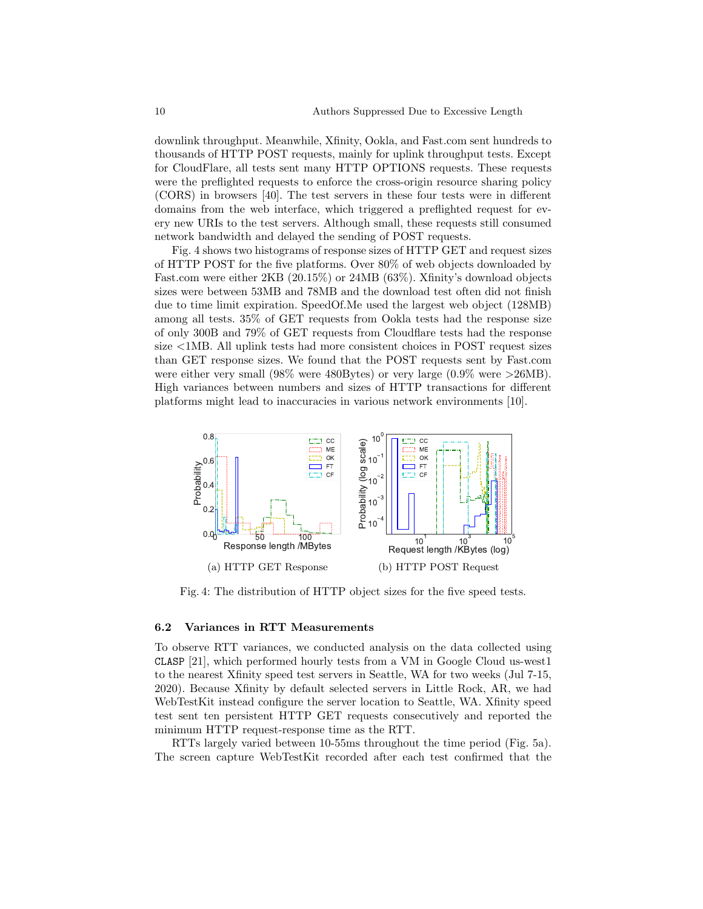downlink throughput. Meanwhile, Xfinity, Ookla, and Fast.com sent hundreds to thousands of HTTP POST requests, mainly for uplink throughput tests. Except for CloudFlare, all tests sent many HTTP OPTIONS requests. These requests were the preflighted requests to enforce the cross-origin resource sharing policy (CORS) in browsers [40]. The test servers in these four tests were in different domains from the web interface, which triggered a preflighted request for every new URIs to the test servers. Although small, these requests still consumed network bandwidth and delayed the sending of POST requests.

Fig. 4 shows two histograms of response sizes of HTTP GET and request sizes of HTTP POST for the five platforms. Over 80% of web objects downloaded by Fast.com were either 2KB (20.15%) or 24MB (63%). Xfinity's download objects sizes were between 53MB and 78MB and the download test often did not finish due to time limit expiration. SpeedOf.Me used the largest web object (128MB) among all tests. 35% of GET requests from Ookla tests had the response size of only 300B and 79% of GET requests from Cloudflare tests had the response size <1MB. All uplink tests had more consistent choices in POST request sizes than GET response sizes. We found that the POST requests sent by Fast.com were either very small (98% were 480Bytes) or very large (0.9% were >26MB). High variances between numbers and sizes of HTTP transactions for different platforms might lead to inaccuracies in various network environments [10].



Fig. 4: The distribution of HTTP object sizes for the five speed tests.

#### 6.2 Variances in RTT Measurements

To observe RTT variances, we conducted analysis on the data collected using CLASP [21], which performed hourly tests from a VM in Google Cloud us-west1 to the nearest Xfinity speed test servers in Seattle, WA for two weeks (Jul 7-15, 2020). Because Xfinity by default selected servers in Little Rock, AR, we had WebTestKit instead configure the server location to Seattle, WA. Xfinity speed test sent ten persistent HTTP GET requests consecutively and reported the minimum HTTP request-response time as the RTT.

RTTs largely varied between 10-55ms throughout the time period (Fig. 5a). The screen capture WebTestKit recorded after each test confirmed that the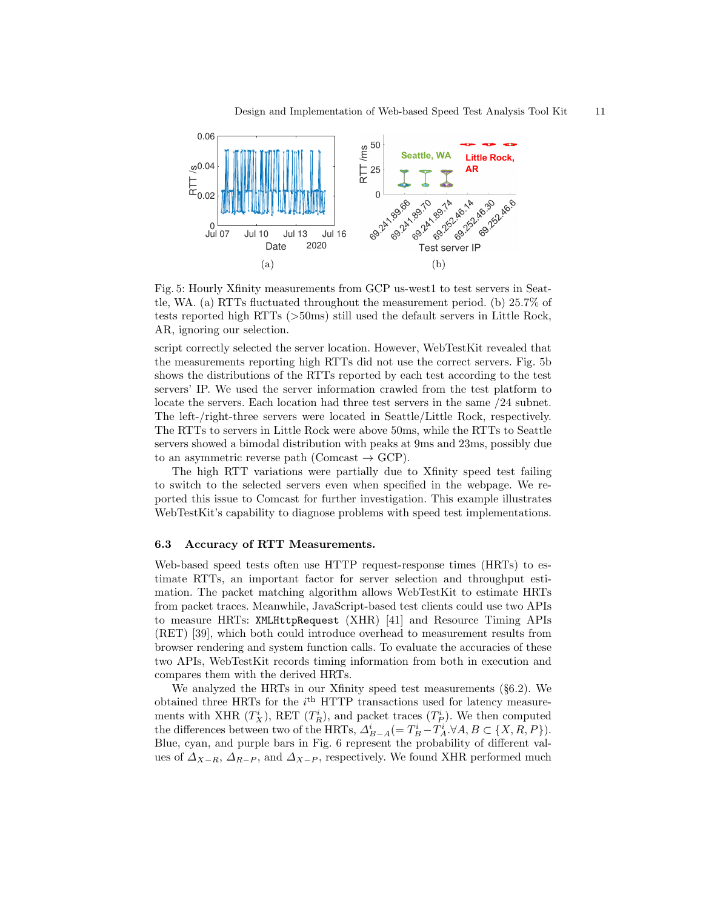

Fig. 5: Hourly Xfinity measurements from GCP us-west1 to test servers in Seattle, WA. (a) RTTs fluctuated throughout the measurement period. (b) 25.7% of tests reported high RTTs (>50ms) still used the default servers in Little Rock, AR, ignoring our selection.

script correctly selected the server location. However, WebTestKit revealed that the measurements reporting high RTTs did not use the correct servers. Fig. 5b shows the distributions of the RTTs reported by each test according to the test servers' IP. We used the server information crawled from the test platform to locate the servers. Each location had three test servers in the same /24 subnet. The left-/right-three servers were located in Seattle/Little Rock, respectively. The RTTs to servers in Little Rock were above 50ms, while the RTTs to Seattle servers showed a bimodal distribution with peaks at 9ms and 23ms, possibly due to an asymmetric reverse path (Comcast  $\rightarrow$  GCP).

The high RTT variations were partially due to Xfinity speed test failing to switch to the selected servers even when specified in the webpage. We reported this issue to Comcast for further investigation. This example illustrates WebTestKit's capability to diagnose problems with speed test implementations.

#### 6.3 Accuracy of RTT Measurements.

Web-based speed tests often use HTTP request-response times (HRTs) to estimate RTTs, an important factor for server selection and throughput estimation. The packet matching algorithm allows WebTestKit to estimate HRTs from packet traces. Meanwhile, JavaScript-based test clients could use two APIs to measure HRTs: XMLHttpRequest (XHR) [41] and Resource Timing APIs (RET) [39], which both could introduce overhead to measurement results from browser rendering and system function calls. To evaluate the accuracies of these two APIs, WebTestKit records timing information from both in execution and compares them with the derived HRTs.

We analyzed the HRTs in our Xfinity speed test measurements (§6.2). We obtained three HRTs for the  $i<sup>th</sup>$  HTTP transactions used for latency measurements with XHR  $(T_X^i)$ , RET  $(T_R^i)$ , and packet traces  $(T_P^i)$ . We then computed the differences between two of the HRTs,  $\Delta_{B-A}^i(= T_B^i - T_A^i, \forall A, B \subset \{X, R, P\})$ . Blue, cyan, and purple bars in Fig. 6 represent the probability of different values of  $\Delta_{X-R}$ ,  $\Delta_{R-P}$ , and  $\Delta_{X-P}$ , respectively. We found XHR performed much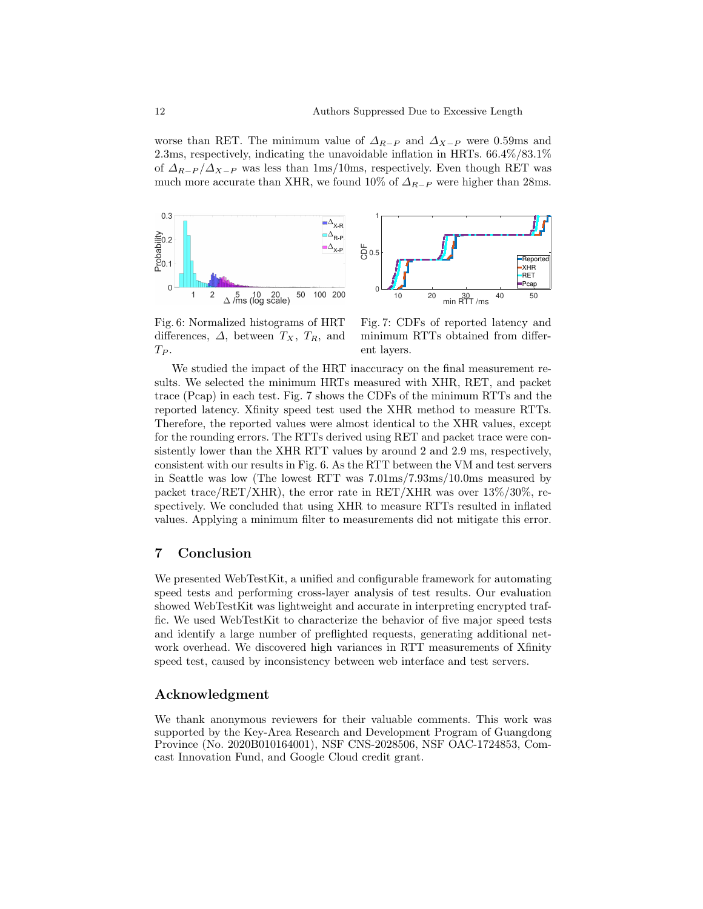worse than RET. The minimum value of  $\Delta_{R-P}$  and  $\Delta_{X-P}$  were 0.59ms and 2.3ms, respectively, indicating the unavoidable inflation in HRTs. 66.4%/83.1% of  $\Delta_{R-P}/\Delta_{X-P}$  was less than 1ms/10ms, respectively. Even though RET was much more accurate than XHR, we found 10% of  $\Delta_{R-P}$  were higher than 28ms.



Fig. 6: Normalized histograms of HRT differences,  $\Delta$ , between  $T_X$ ,  $T_R$ , and  $T_P$ .

Fig. 7: CDFs of reported latency and minimum RTTs obtained from different layers.

We studied the impact of the HRT inaccuracy on the final measurement results. We selected the minimum HRTs measured with XHR, RET, and packet trace (Pcap) in each test. Fig. 7 shows the CDFs of the minimum RTTs and the reported latency. Xfinity speed test used the XHR method to measure RTTs. Therefore, the reported values were almost identical to the XHR values, except for the rounding errors. The RTTs derived using RET and packet trace were consistently lower than the XHR RTT values by around 2 and 2.9 ms, respectively, consistent with our results in Fig. 6. As the RTT between the VM and test servers in Seattle was low (The lowest RTT was 7.01ms/7.93ms/10.0ms measured by packet trace/RET/XHR), the error rate in RET/XHR was over  $13\%/30\%$ , respectively. We concluded that using XHR to measure RTTs resulted in inflated values. Applying a minimum filter to measurements did not mitigate this error.

## 7 Conclusion

We presented WebTestKit, a unified and configurable framework for automating speed tests and performing cross-layer analysis of test results. Our evaluation showed WebTestKit was lightweight and accurate in interpreting encrypted traffic. We used WebTestKit to characterize the behavior of five major speed tests and identify a large number of preflighted requests, generating additional network overhead. We discovered high variances in RTT measurements of Xfinity speed test, caused by inconsistency between web interface and test servers.

## Acknowledgment

We thank anonymous reviewers for their valuable comments. This work was supported by the Key-Area Research and Development Program of Guangdong Province (No. 2020B010164001), NSF CNS-2028506, NSF OAC-1724853, Comcast Innovation Fund, and Google Cloud credit grant.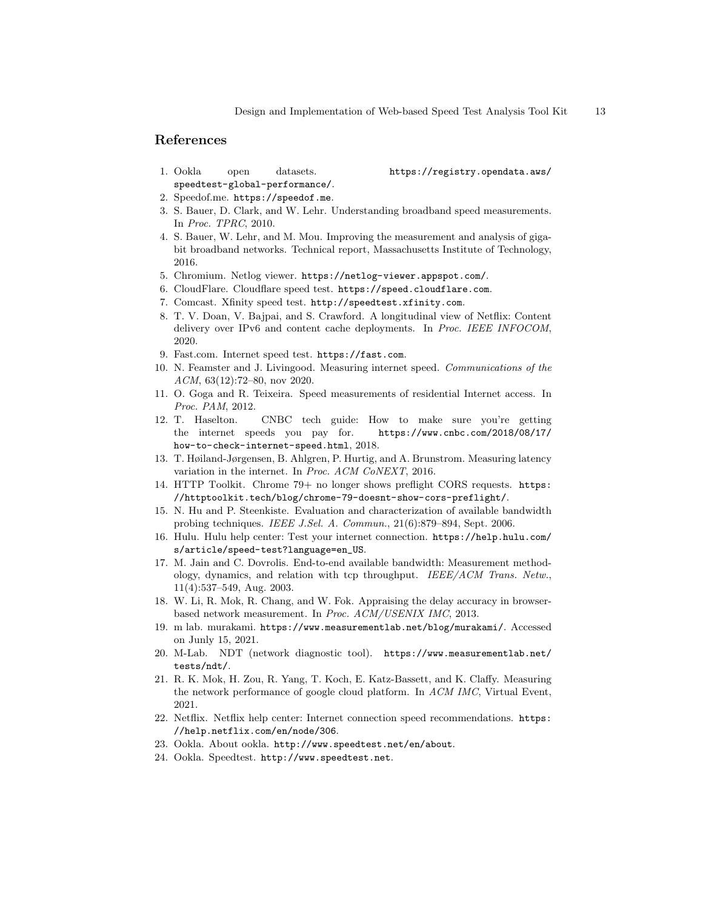## References

1. Ookla open datasets. https://registry.opendata.aws/ speedtest-global-performance/.

- 
- 2. Speedof.me. https://speedof.me.
- 3. S. Bauer, D. Clark, and W. Lehr. Understanding broadband speed measurements. In Proc. TPRC, 2010.
- 4. S. Bauer, W. Lehr, and M. Mou. Improving the measurement and analysis of gigabit broadband networks. Technical report, Massachusetts Institute of Technology, 2016.
- 5. Chromium. Netlog viewer. https://netlog-viewer.appspot.com/.
- 6. CloudFlare. Cloudflare speed test. https://speed.cloudflare.com.
- 7. Comcast. Xfinity speed test. http://speedtest.xfinity.com.
- 8. T. V. Doan, V. Bajpai, and S. Crawford. A longitudinal view of Netflix: Content delivery over IPv6 and content cache deployments. In Proc. IEEE INFOCOM, 2020.
- 9. Fast.com. Internet speed test. https://fast.com.
- 10. N. Feamster and J. Livingood. Measuring internet speed. Communications of the ACM, 63(12):72–80, nov 2020.
- 11. O. Goga and R. Teixeira. Speed measurements of residential Internet access. In Proc. PAM, 2012.
- 12. T. Haselton. CNBC tech guide: How to make sure you're getting the internet speeds you pay for. https://www.cnbc.com/2018/08/17/ how-to-check-internet-speed.html, 2018.
- 13. T. Høiland-Jørgensen, B. Ahlgren, P. Hurtig, and A. Brunstrom. Measuring latency variation in the internet. In Proc. ACM CoNEXT, 2016.
- 14. HTTP Toolkit. Chrome 79+ no longer shows preflight CORS requests. https: //httptoolkit.tech/blog/chrome-79-doesnt-show-cors-preflight/.
- 15. N. Hu and P. Steenkiste. Evaluation and characterization of available bandwidth probing techniques. IEEE J.Sel. A. Commun., 21(6):879–894, Sept. 2006.
- 16. Hulu. Hulu help center: Test your internet connection. https://help.hulu.com/ s/article/speed-test?language=en\_US.
- 17. M. Jain and C. Dovrolis. End-to-end available bandwidth: Measurement methodology, dynamics, and relation with tcp throughput. IEEE/ACM Trans. Netw., 11(4):537–549, Aug. 2003.
- 18. W. Li, R. Mok, R. Chang, and W. Fok. Appraising the delay accuracy in browserbased network measurement. In Proc. ACM/USENIX IMC, 2013.
- 19. m lab. murakami. https://www.measurementlab.net/blog/murakami/. Accessed on Junly 15, 2021.
- 20. M-Lab. NDT (network diagnostic tool). https://www.measurementlab.net/ tests/ndt/.
- 21. R. K. Mok, H. Zou, R. Yang, T. Koch, E. Katz-Bassett, and K. Claffy. Measuring the network performance of google cloud platform. In ACM IMC, Virtual Event, 2021.
- 22. Netflix. Netflix help center: Internet connection speed recommendations. https: //help.netflix.com/en/node/306.
- 23. Ookla. About ookla. http://www.speedtest.net/en/about.
- 24. Ookla. Speedtest. http://www.speedtest.net.